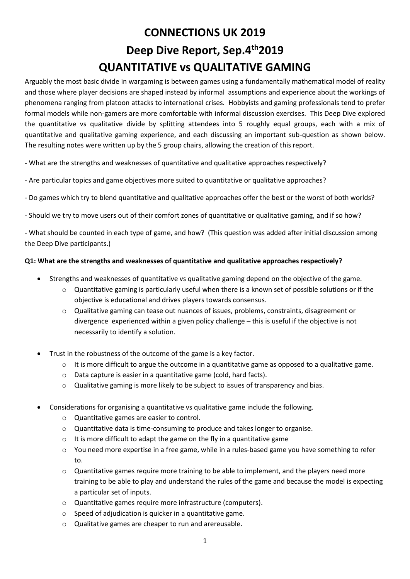# **CONNECTIONS UK 2019 Deep Dive Report, Sep.4th2019 QUANTITATIVE vs QUALITATIVE GAMING**

Arguably the most basic divide in wargaming is between games using a fundamentally mathematical model of reality and those where player decisions are shaped instead by informal assumptions and experience about the workings of phenomena ranging from platoon attacks to international crises. Hobbyists and gaming professionals tend to prefer formal models while non-gamers are more comfortable with informal discussion exercises. This Deep Dive explored the quantitative vs qualitative divide by splitting attendees into 5 roughly equal groups, each with a mix of quantitative and qualitative gaming experience, and each discussing an important sub-question as shown below. The resulting notes were written up by the 5 group chairs, allowing the creation of this report.

- What are the strengths and weaknesses of quantitative and qualitative approaches respectively?
- Are particular topics and game objectives more suited to quantitative or qualitative approaches?
- Do games which try to blend quantitative and qualitative approaches offer the best or the worst of both worlds?
- Should we try to move users out of their comfort zones of quantitative or qualitative gaming, and if so how?

- What should be counted in each type of game, and how? (This question was added after initial discussion among the Deep Dive participants.)

#### **Q1: What are the strengths and weaknesses of quantitative and qualitative approaches respectively?**

- Strengths and weaknesses of quantitative vs qualitative gaming depend on the objective of the game.
	- o Quantitative gaming is particularly useful when there is a known set of possible solutions or if the objective is educational and drives players towards consensus.
	- o Qualitative gaming can tease out nuances of issues, problems, constraints, disagreement or divergence experienced within a given policy challenge – this is useful if the objective is not necessarily to identify a solution.
- Trust in the robustness of the outcome of the game is a key factor.
	- o It is more difficult to argue the outcome in a quantitative game as opposed to a qualitative game.
	- o Data capture is easier in a quantitative game (cold, hard facts).
	- $\circ$  Qualitative gaming is more likely to be subject to issues of transparency and bias.
- Considerations for organising a quantitative vs qualitative game include the following.
	- o Quantitative games are easier to control.
	- o Quantitative data is time-consuming to produce and takes longer to organise.
	- $\circ$  It is more difficult to adapt the game on the fly in a quantitative game
	- o You need more expertise in a free game, while in a rules-based game you have something to refer to.
	- $\circ$  Quantitative games require more training to be able to implement, and the players need more training to be able to play and understand the rules of the game and because the model is expecting a particular set of inputs.
	- o Quantitative games require more infrastructure (computers).
	- o Speed of adjudication is quicker in a quantitative game.
	- o Qualitative games are cheaper to run and arereusable.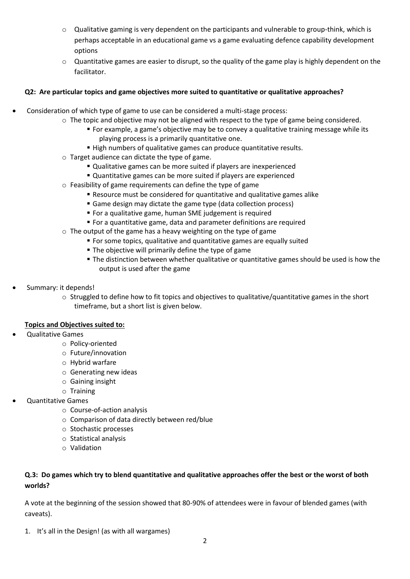- $\circ$  Qualitative gaming is very dependent on the participants and vulnerable to group-think, which is perhaps acceptable in an educational game vs a game evaluating defence capability development options
- $\circ$  Quantitative games are easier to disrupt, so the quality of the game play is highly dependent on the facilitator.

### **Q2: Are particular topics and game objectives more suited to quantitative or qualitative approaches?**

- Consideration of which type of game to use can be considered a multi-stage process:
	- $\circ$  The topic and objective may not be aligned with respect to the type of game being considered.
		- For example, a game's objective may be to convey a qualitative training message while its playing process is a primarily quantitative one.
		- High numbers of qualitative games can produce quantitative results.
	- o Target audience can dictate the type of game.
		- Qualitative games can be more suited if players are inexperienced
		- Quantitative games can be more suited if players are experienced
	- o Feasibility of game requirements can define the type of game
		- Resource must be considered for quantitative and qualitative games alike
		- Game design may dictate the game type (data collection process)
		- For a qualitative game, human SME judgement is required
		- For a quantitative game, data and parameter definitions are required
	- $\circ$  The output of the game has a heavy weighting on the type of game
		- For some topics, qualitative and quantitative games are equally suited
		- **The objective will primarily define the type of game**
		- The distinction between whether qualitative or quantitative games should be used is how the output is used after the game
- Summary: it depends!
	- $\circ$  Struggled to define how to fit topics and objectives to qualitative/quantitative games in the short timeframe, but a short list is given below.

#### **Topics and Objectives suited to:**

- Qualitative Games
	- o Policy-oriented
	- o Future/innovation
	- o Hybrid warfare
	- o Generating new ideas
	- o Gaining insight
	- o Training
- Quantitative Games
	- o Course-of-action analysis
	- o Comparison of data directly between red/blue
	- o Stochastic processes
	- o Statistical analysis
	- o Validation

## **Q.3: Do games which try to blend quantitative and qualitative approaches offer the best or the worst of both worlds?**

A vote at the beginning of the session showed that 80-90% of attendees were in favour of blended games (with caveats).

1. It's all in the Design! (as with all wargames)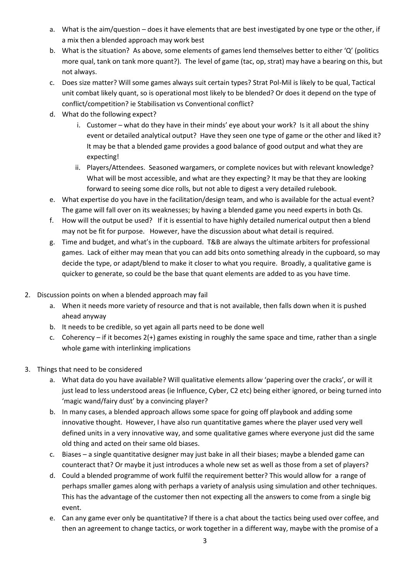- a. What is the aim/question does it have elements that are best investigated by one type or the other, if a mix then a blended approach may work best
- b. What is the situation? As above, some elements of games lend themselves better to either 'Q' (politics more qual, tank on tank more quant?). The level of game (tac, op, strat) may have a bearing on this, but not always.
- c. Does size matter? Will some games always suit certain types? Strat Pol-Mil is likely to be qual, Tactical unit combat likely quant, so is operational most likely to be blended? Or does it depend on the type of conflict/competition? ie Stabilisation vs Conventional conflict?
- d. What do the following expect?
	- i. Customer what do they have in their minds' eye about your work? Is it all about the shiny event or detailed analytical output? Have they seen one type of game or the other and liked it? It may be that a blended game provides a good balance of good output and what they are expecting!
	- ii. Players/Attendees. Seasoned wargamers, or complete novices but with relevant knowledge? What will be most accessible, and what are they expecting? It may be that they are looking forward to seeing some dice rolls, but not able to digest a very detailed rulebook.
- e. What expertise do you have in the facilitation/design team, and who is available for the actual event? The game will fall over on its weaknesses; by having a blended game you need experts in both Qs.
- f. How will the output be used? If it is essential to have highly detailed numerical output then a blend may not be fit for purpose. However, have the discussion about what detail is required.
- g. Time and budget, and what's in the cupboard. T&B are always the ultimate arbiters for professional games. Lack of either may mean that you can add bits onto something already in the cupboard, so may decide the type, or adapt/blend to make it closer to what you require. Broadly, a qualitative game is quicker to generate, so could be the base that quant elements are added to as you have time.
- 2. Discussion points on when a blended approach may fail
	- a. When it needs more variety of resource and that is not available, then falls down when it is pushed ahead anyway
	- b. It needs to be credible, so yet again all parts need to be done well
	- c. Coherency if it becomes 2(+) games existing in roughly the same space and time, rather than a single whole game with interlinking implications
- 3. Things that need to be considered
	- a. What data do you have available? Will qualitative elements allow 'papering over the cracks', or will it just lead to less understood areas (ie Influence, Cyber, C2 etc) being either ignored, or being turned into 'magic wand/fairy dust' by a convincing player?
	- b. In many cases, a blended approach allows some space for going off playbook and adding some innovative thought. However, I have also run quantitative games where the player used very well defined units in a very innovative way, and some qualitative games where everyone just did the same old thing and acted on their same old biases.
	- c. Biases a single quantitative designer may just bake in all their biases; maybe a blended game can counteract that? Or maybe it just introduces a whole new set as well as those from a set of players?
	- d. Could a blended programme of work fulfil the requirement better? This would allow for a range of perhaps smaller games along with perhaps a variety of analysis using simulation and other techniques. This has the advantage of the customer then not expecting all the answers to come from a single big event.
	- e. Can any game ever only be quantitative? If there is a chat about the tactics being used over coffee, and then an agreement to change tactics, or work together in a different way, maybe with the promise of a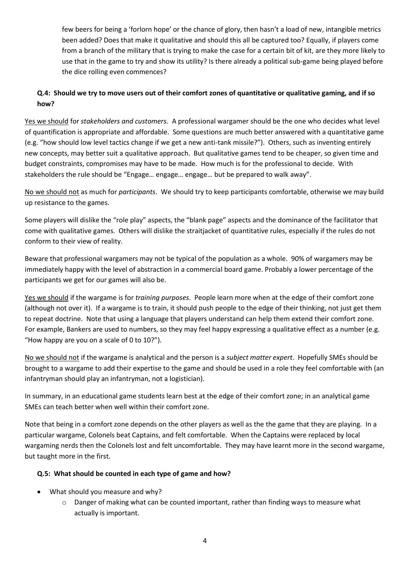few beers for being a 'forlorn hope' or the chance of glory, then hasn't a load of new, intangible metrics been added? Does that make it qualitative and should this all be captured too? Equally, if players come from a branch of the military that is trying to make the case for a certain bit of kit, are they more likely to use that in the game to try and show its utility? Is there already a political sub-game being played before the dice rolling even commences?

## **Q.4: Should we try to move users out of their comfort zones of quantitative or qualitative gaming, and if so how?**

Yes we should for *stakeholders and customers.* A professional wargamer should be the one who decides what level of quantification is appropriate and affordable. Some questions are much better answered with a quantitative game (e.g. "how should low level tactics change if we get a new anti-tank missile?"). Others, such as inventing entirely new concepts, may better suit a qualitative approach. But qualitative games tend to be cheaper, so given time and budget constraints, compromises may have to be made. How much is for the professional to decide. With stakeholders the rule should be "Engage… engage… engage… but be prepared to walk away".

No we should not as much for *participants*. We should try to keep participants comfortable, otherwise we may build up resistance to the games.

Some players will dislike the "role play" aspects, the "blank page" aspects and the dominance of the facilitator that come with qualitative games. Others will dislike the straitjacket of quantitative rules, especially if the rules do not conform to their view of reality.

Beware that professional wargamers may not be typical of the population as a whole. 90% of wargamers may be immediately happy with the level of abstraction in a commercial board game. Probably a lower percentage of the participants we get for our games will also be.

Yes we should if the wargame is for *training purposes*. People learn more when at the edge of their comfort zone (although not over it). If a wargame is to train, it should push people to the edge of their thinking, not just get them to repeat doctrine. Note that using a language that players understand can help them extend their comfort zone. For example, Bankers are used to numbers, so they may feel happy expressing a qualitative effect as a number (e.g. "How happy are you on a scale of 0 to 10?").

No we should not if the wargame is analytical and the person is a *subject matter expert*. Hopefully SMEs should be brought to a wargame to add their expertise to the game and should be used in a role they feel comfortable with (an infantryman should play an infantryman, not a logistician).

In summary, in an educational game students learn best at the edge of their comfort zone; in an analytical game SMEs can teach better when well within their comfort zone.

Note that being in a comfort zone depends on the other players as well as the the game that they are playing. In a particular wargame, Colonels beat Captains, and felt comfortable. When the Captains were replaced by local wargaming nerds then the Colonels lost and felt uncomfortable. They may have learnt more in the second wargame, but taught more in the first.

#### **Q.5: What should be counted in each type of game and how?**

- What should you measure and why?
	- $\circ$  Danger of making what can be counted important, rather than finding ways to measure what actually is important.